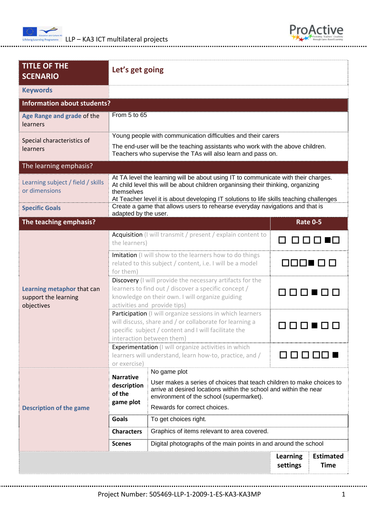



| <b>TITLE OF THE</b><br><b>SCENARIO</b>                           | Let's get going                                                                                                                                                                                           |                                                                                                                                                                                                                                                                    |                                                         |  |  |
|------------------------------------------------------------------|-----------------------------------------------------------------------------------------------------------------------------------------------------------------------------------------------------------|--------------------------------------------------------------------------------------------------------------------------------------------------------------------------------------------------------------------------------------------------------------------|---------------------------------------------------------|--|--|
| <b>Keywords</b>                                                  |                                                                                                                                                                                                           |                                                                                                                                                                                                                                                                    |                                                         |  |  |
| <b>Information about students?</b>                               |                                                                                                                                                                                                           |                                                                                                                                                                                                                                                                    |                                                         |  |  |
| Age Range and grade of the<br>learners                           | From 5 to 65                                                                                                                                                                                              |                                                                                                                                                                                                                                                                    |                                                         |  |  |
| Special characteristics of                                       | Young people with communication difficulties and their carers                                                                                                                                             |                                                                                                                                                                                                                                                                    |                                                         |  |  |
| learners                                                         | The end-user will be the teaching assistants who work with the above children.<br>Teachers who supervise the TAs will also learn and pass on.                                                             |                                                                                                                                                                                                                                                                    |                                                         |  |  |
| The learning emphasis?                                           |                                                                                                                                                                                                           |                                                                                                                                                                                                                                                                    |                                                         |  |  |
| Learning subject / field / skills<br>or dimensions               | themselves                                                                                                                                                                                                | At TA level the learning will be about using IT to communicate with their charges.<br>At child level this will be about children organinsing their thinking, organizing<br>At Teacher level it is about developing IT solutions to life skills teaching challenges |                                                         |  |  |
| <b>Specific Goals</b>                                            | adapted by the user.                                                                                                                                                                                      | Create a game that allows users to rehearse everyday navigations and that is                                                                                                                                                                                       |                                                         |  |  |
| The teaching emphasis?                                           |                                                                                                                                                                                                           |                                                                                                                                                                                                                                                                    | <b>Rate 0-5</b>                                         |  |  |
| Learning metaphor that can<br>support the learning<br>objectives | Acquisition (I will transmit / present / explain content to<br>the learners)                                                                                                                              |                                                                                                                                                                                                                                                                    | 88 8 8 8 1                                              |  |  |
|                                                                  | Imitation (I will show to the learners how to do things<br>related to this subject / content, i.e. I will be a model<br>for them)                                                                         |                                                                                                                                                                                                                                                                    | 8000 C B                                                |  |  |
|                                                                  | Discovery (I will provide the necessary artifacts for the<br>learners to find out / discover a specific concept /<br>knowledge on their own. I will organize guiding<br>activities and provide tips)      |                                                                                                                                                                                                                                                                    | 88008                                                   |  |  |
|                                                                  | Participation (I will organize sessions in which learners<br>will discuss, share and / or collaborate for learning a<br>specific subject / content and I will facilitate the<br>interaction between them) |                                                                                                                                                                                                                                                                    |                                                         |  |  |
|                                                                  | Experimentation (I will organize activities in which<br>learners will understand, learn how-to, practice, and /<br>or exercise)                                                                           |                                                                                                                                                                                                                                                                    | , , , , , , , , , , ,                                   |  |  |
| <b>Description of the game</b>                                   | <b>Narrative</b><br>description<br>of the<br>game plot                                                                                                                                                    | No game plot<br>User makes a series of choices that teach children to make choices to<br>arrive at desired locations within the school and within the near<br>environment of the school (supermarket).                                                             |                                                         |  |  |
|                                                                  | Rewards for correct choices.                                                                                                                                                                              |                                                                                                                                                                                                                                                                    |                                                         |  |  |
|                                                                  | <b>Goals</b>                                                                                                                                                                                              | To get choices right.                                                                                                                                                                                                                                              |                                                         |  |  |
|                                                                  | <b>Characters</b>                                                                                                                                                                                         | Graphics of items relevant to area covered.                                                                                                                                                                                                                        |                                                         |  |  |
|                                                                  | <b>Scenes</b>                                                                                                                                                                                             | Digital photographs of the main points in and around the school                                                                                                                                                                                                    |                                                         |  |  |
|                                                                  |                                                                                                                                                                                                           |                                                                                                                                                                                                                                                                    | Learning<br><b>Estimated</b><br>settings<br><b>Time</b> |  |  |